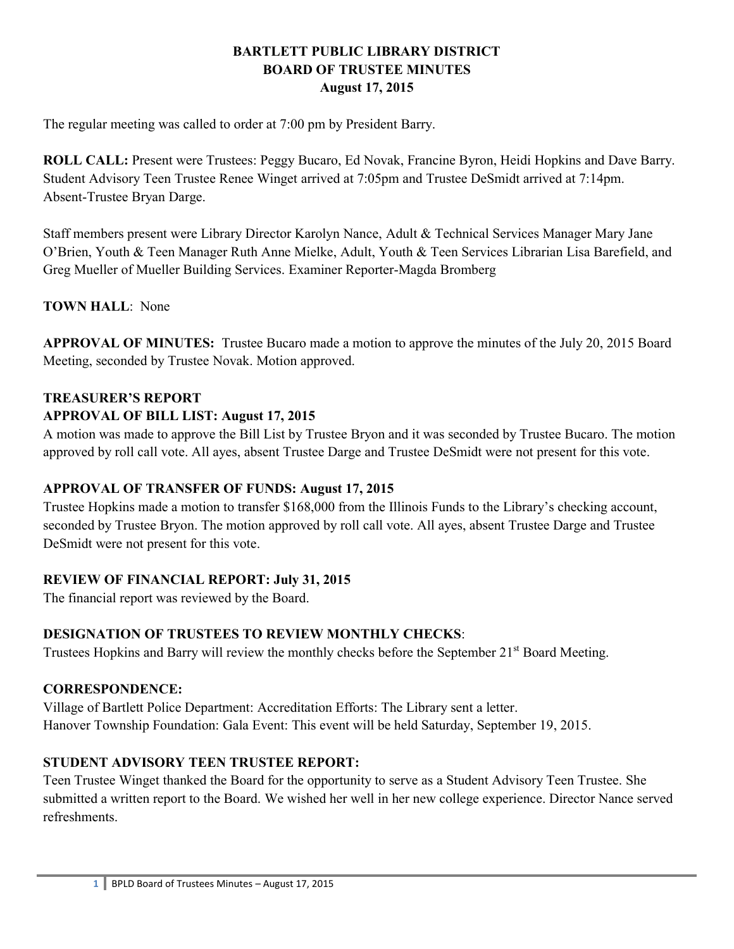## **BARTLETT PUBLIC LIBRARY DISTRICT BOARD OF TRUSTEE MINUTES August 17, 2015**

The regular meeting was called to order at 7:00 pm by President Barry.

**ROLL CALL:** Present were Trustees: Peggy Bucaro, Ed Novak, Francine Byron, Heidi Hopkins and Dave Barry. Student Advisory Teen Trustee Renee Winget arrived at 7:05pm and Trustee DeSmidt arrived at 7:14pm. Absent-Trustee Bryan Darge.

Staff members present were Library Director Karolyn Nance, Adult & Technical Services Manager Mary Jane O'Brien, Youth & Teen Manager Ruth Anne Mielke, Adult, Youth & Teen Services Librarian Lisa Barefield, and Greg Mueller of Mueller Building Services. Examiner Reporter-Magda Bromberg

### **TOWN HALL**: None

**APPROVAL OF MINUTES:** Trustee Bucaro made a motion to approve the minutes of the July 20, 2015 Board Meeting, seconded by Trustee Novak. Motion approved.

### **TREASURER'S REPORT**

# **APPROVAL OF BILL LIST: August 17, 2015**

A motion was made to approve the Bill List by Trustee Bryon and it was seconded by Trustee Bucaro. The motion approved by roll call vote. All ayes, absent Trustee Darge and Trustee DeSmidt were not present for this vote.

# **APPROVAL OF TRANSFER OF FUNDS: August 17, 2015**

Trustee Hopkins made a motion to transfer \$168,000 from the Illinois Funds to the Library's checking account, seconded by Trustee Bryon. The motion approved by roll call vote. All ayes, absent Trustee Darge and Trustee DeSmidt were not present for this vote.

# **REVIEW OF FINANCIAL REPORT: July 31, 2015**

The financial report was reviewed by the Board.

# **DESIGNATION OF TRUSTEES TO REVIEW MONTHLY CHECKS**:

Trustees Hopkins and Barry will review the monthly checks before the September 21<sup>st</sup> Board Meeting.

#### **CORRESPONDENCE:**

Village of Bartlett Police Department: Accreditation Efforts: The Library sent a letter. Hanover Township Foundation: Gala Event: This event will be held Saturday, September 19, 2015.

#### **STUDENT ADVISORY TEEN TRUSTEE REPORT:**

Teen Trustee Winget thanked the Board for the opportunity to serve as a Student Advisory Teen Trustee. She submitted a written report to the Board. We wished her well in her new college experience. Director Nance served refreshments.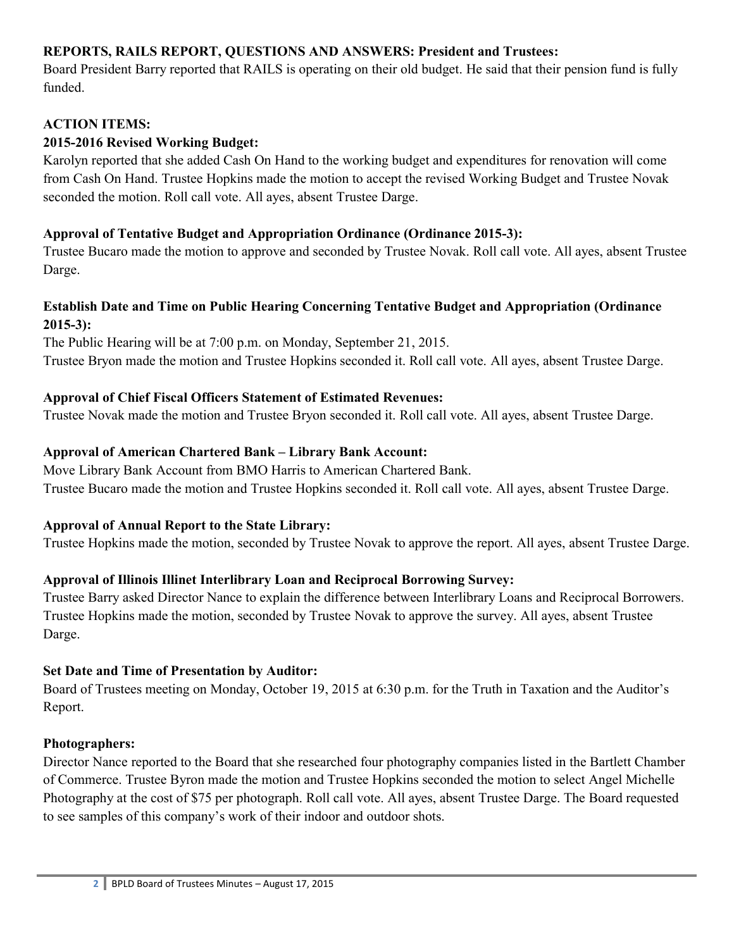## **REPORTS, RAILS REPORT, QUESTIONS AND ANSWERS: President and Trustees:**

Board President Barry reported that RAILS is operating on their old budget. He said that their pension fund is fully funded.

### **ACTION ITEMS:**

## **2015-2016 Revised Working Budget:**

Karolyn reported that she added Cash On Hand to the working budget and expenditures for renovation will come from Cash On Hand. Trustee Hopkins made the motion to accept the revised Working Budget and Trustee Novak seconded the motion. Roll call vote. All ayes, absent Trustee Darge.

### **Approval of Tentative Budget and Appropriation Ordinance (Ordinance 2015-3):**

Trustee Bucaro made the motion to approve and seconded by Trustee Novak. Roll call vote. All ayes, absent Trustee Darge.

# **Establish Date and Time on Public Hearing Concerning Tentative Budget and Appropriation (Ordinance 2015-3):**

The Public Hearing will be at 7:00 p.m. on Monday, September 21, 2015. Trustee Bryon made the motion and Trustee Hopkins seconded it. Roll call vote. All ayes, absent Trustee Darge.

### **Approval of Chief Fiscal Officers Statement of Estimated Revenues:**

Trustee Novak made the motion and Trustee Bryon seconded it. Roll call vote. All ayes, absent Trustee Darge.

# **Approval of American Chartered Bank – Library Bank Account:**

Move Library Bank Account from BMO Harris to American Chartered Bank. Trustee Bucaro made the motion and Trustee Hopkins seconded it. Roll call vote. All ayes, absent Trustee Darge.

# **Approval of Annual Report to the State Library:**

Trustee Hopkins made the motion, seconded by Trustee Novak to approve the report. All ayes, absent Trustee Darge.

# **Approval of Illinois Illinet Interlibrary Loan and Reciprocal Borrowing Survey:**

Trustee Barry asked Director Nance to explain the difference between Interlibrary Loans and Reciprocal Borrowers. Trustee Hopkins made the motion, seconded by Trustee Novak to approve the survey. All ayes, absent Trustee Darge.

#### **Set Date and Time of Presentation by Auditor:**

Board of Trustees meeting on Monday, October 19, 2015 at 6:30 p.m. for the Truth in Taxation and the Auditor's Report.

#### **Photographers:**

Director Nance reported to the Board that she researched four photography companies listed in the Bartlett Chamber of Commerce. Trustee Byron made the motion and Trustee Hopkins seconded the motion to select Angel Michelle Photography at the cost of \$75 per photograph. Roll call vote. All ayes, absent Trustee Darge. The Board requested to see samples of this company's work of their indoor and outdoor shots.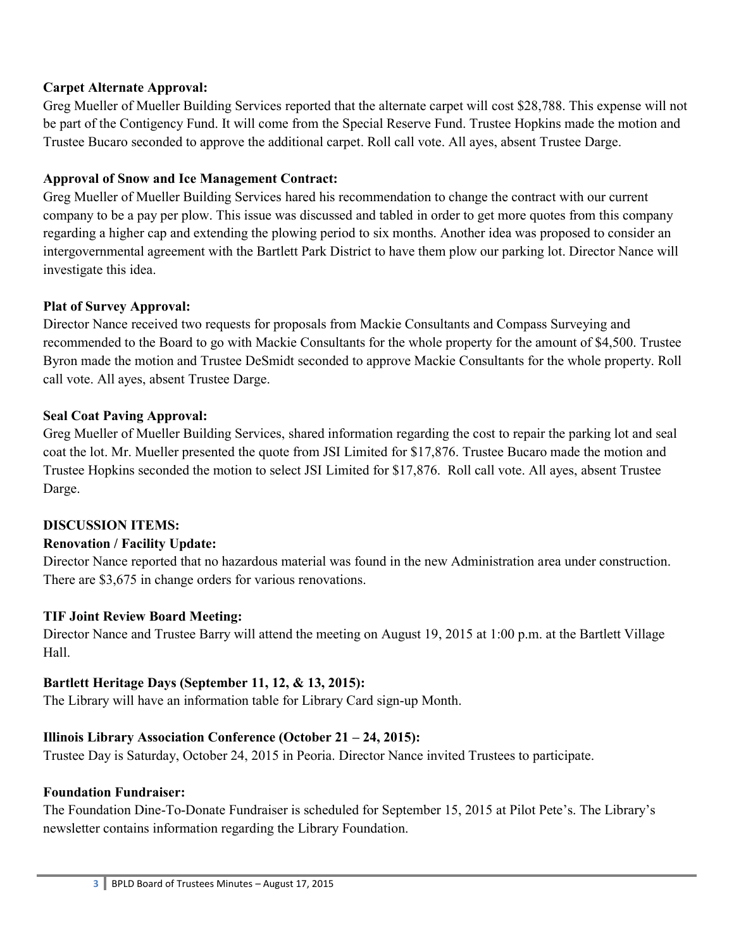### **Carpet Alternate Approval:**

Greg Mueller of Mueller Building Services reported that the alternate carpet will cost \$28,788. This expense will not be part of the Contigency Fund. It will come from the Special Reserve Fund. Trustee Hopkins made the motion and Trustee Bucaro seconded to approve the additional carpet. Roll call vote. All ayes, absent Trustee Darge.

## **Approval of Snow and Ice Management Contract:**

Greg Mueller of Mueller Building Services hared his recommendation to change the contract with our current company to be a pay per plow. This issue was discussed and tabled in order to get more quotes from this company regarding a higher cap and extending the plowing period to six months. Another idea was proposed to consider an intergovernmental agreement with the Bartlett Park District to have them plow our parking lot. Director Nance will investigate this idea.

### **Plat of Survey Approval:**

Director Nance received two requests for proposals from Mackie Consultants and Compass Surveying and recommended to the Board to go with Mackie Consultants for the whole property for the amount of \$4,500. Trustee Byron made the motion and Trustee DeSmidt seconded to approve Mackie Consultants for the whole property. Roll call vote. All ayes, absent Trustee Darge.

### **Seal Coat Paving Approval:**

Greg Mueller of Mueller Building Services, shared information regarding the cost to repair the parking lot and seal coat the lot. Mr. Mueller presented the quote from JSI Limited for \$17,876. Trustee Bucaro made the motion and Trustee Hopkins seconded the motion to select JSI Limited for \$17,876. Roll call vote. All ayes, absent Trustee Darge.

# **DISCUSSION ITEMS:**

# **Renovation / Facility Update:**

Director Nance reported that no hazardous material was found in the new Administration area under construction. There are \$3,675 in change orders for various renovations.

#### **TIF Joint Review Board Meeting:**

Director Nance and Trustee Barry will attend the meeting on August 19, 2015 at 1:00 p.m. at the Bartlett Village Hall.

# **Bartlett Heritage Days (September 11, 12, & 13, 2015):**

The Library will have an information table for Library Card sign-up Month.

# **Illinois Library Association Conference (October 21 – 24, 2015):**

Trustee Day is Saturday, October 24, 2015 in Peoria. Director Nance invited Trustees to participate.

#### **Foundation Fundraiser:**

The Foundation Dine-To-Donate Fundraiser is scheduled for September 15, 2015 at Pilot Pete's. The Library's newsletter contains information regarding the Library Foundation.